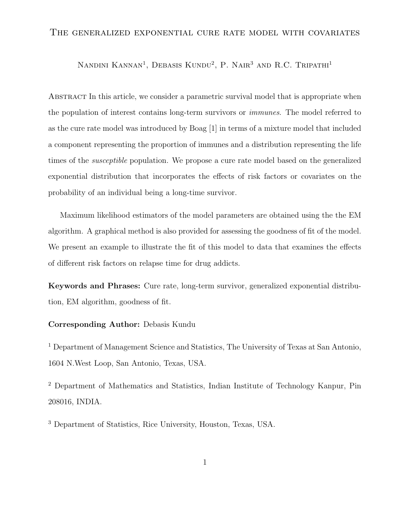#### The generalized exponential cure rate model with covariates

NANDINI KANNAN<sup>1</sup>, DEBASIS KUNDU<sup>2</sup>, P. NAIR<sup>3</sup> AND R.C. TRIPATHI<sup>1</sup>

Abstract In this article, we consider a parametric survival model that is appropriate when the population of interest contains long-term survivors or immunes. The model referred to as the cure rate model was introduced by Boag [1] in terms of a mixture model that included a component representing the proportion of immunes and a distribution representing the life times of the susceptible population. We propose a cure rate model based on the generalized exponential distribution that incorporates the effects of risk factors or covariates on the probability of an individual being a long-time survivor.

Maximum likelihood estimators of the model parameters are obtained using the the EM algorithm. A graphical method is also provided for assessing the goodness of fit of the model. We present an example to illustrate the fit of this model to data that examines the effects of different risk factors on relapse time for drug addicts.

Keywords and Phrases: Cure rate, long-term survivor, generalized exponential distribution, EM algorithm, goodness of fit.

#### Corresponding Author: Debasis Kundu

<sup>1</sup> Department of Management Science and Statistics, The University of Texas at San Antonio, 1604 N.West Loop, San Antonio, Texas, USA.

<sup>2</sup> Department of Mathematics and Statistics, Indian Institute of Technology Kanpur, Pin 208016, INDIA.

<sup>3</sup> Department of Statistics, Rice University, Houston, Texas, USA.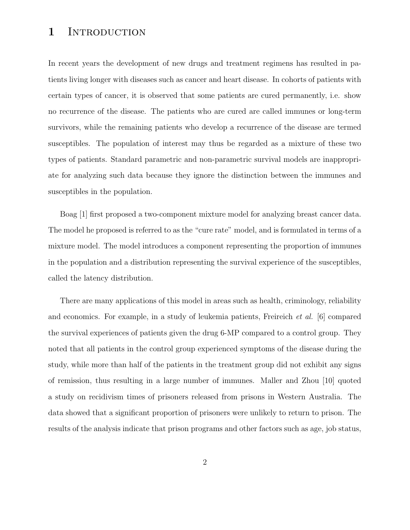# 1 INTRODUCTION

In recent years the development of new drugs and treatment regimens has resulted in patients living longer with diseases such as cancer and heart disease. In cohorts of patients with certain types of cancer, it is observed that some patients are cured permanently, i.e. show no recurrence of the disease. The patients who are cured are called immunes or long-term survivors, while the remaining patients who develop a recurrence of the disease are termed susceptibles. The population of interest may thus be regarded as a mixture of these two types of patients. Standard parametric and non-parametric survival models are inappropriate for analyzing such data because they ignore the distinction between the immunes and susceptibles in the population.

Boag [1] first proposed a two-component mixture model for analyzing breast cancer data. The model he proposed is referred to as the "cure rate" model, and is formulated in terms of a mixture model. The model introduces a component representing the proportion of immunes in the population and a distribution representing the survival experience of the susceptibles, called the latency distribution.

There are many applications of this model in areas such as health, criminology, reliability and economics. For example, in a study of leukemia patients, Freireich et al. [6] compared the survival experiences of patients given the drug 6-MP compared to a control group. They noted that all patients in the control group experienced symptoms of the disease during the study, while more than half of the patients in the treatment group did not exhibit any signs of remission, thus resulting in a large number of immunes. Maller and Zhou [10] quoted a study on recidivism times of prisoners released from prisons in Western Australia. The data showed that a significant proportion of prisoners were unlikely to return to prison. The results of the analysis indicate that prison programs and other factors such as age, job status,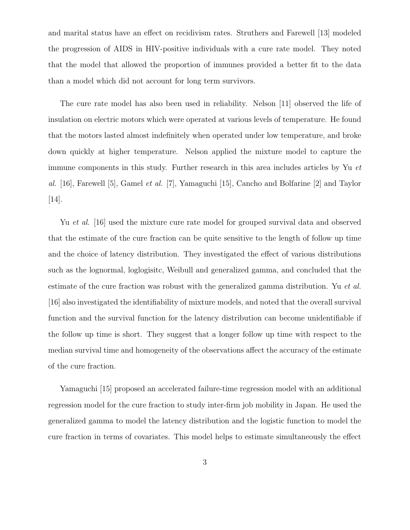and marital status have an effect on recidivism rates. Struthers and Farewell [13] modeled the progression of AIDS in HIV-positive individuals with a cure rate model. They noted that the model that allowed the proportion of immunes provided a better fit to the data than a model which did not account for long term survivors.

The cure rate model has also been used in reliability. Nelson [11] observed the life of insulation on electric motors which were operated at various levels of temperature. He found that the motors lasted almost indefinitely when operated under low temperature, and broke down quickly at higher temperature. Nelson applied the mixture model to capture the immune components in this study. Further research in this area includes articles by Yu et al. [16], Farewell [5], Gamel et al. [7], Yamaguchi [15], Cancho and Bolfarine [2] and Taylor [14].

Yu *et al.* [16] used the mixture cure rate model for grouped survival data and observed that the estimate of the cure fraction can be quite sensitive to the length of follow up time and the choice of latency distribution. They investigated the effect of various distributions such as the lognormal, loglogisitc, Weibull and generalized gamma, and concluded that the estimate of the cure fraction was robust with the generalized gamma distribution. Yu et al. [16] also investigated the identifiability of mixture models, and noted that the overall survival function and the survival function for the latency distribution can become unidentifiable if the follow up time is short. They suggest that a longer follow up time with respect to the median survival time and homogeneity of the observations affect the accuracy of the estimate of the cure fraction.

Yamaguchi [15] proposed an accelerated failure-time regression model with an additional regression model for the cure fraction to study inter-firm job mobility in Japan. He used the generalized gamma to model the latency distribution and the logistic function to model the cure fraction in terms of covariates. This model helps to estimate simultaneously the effect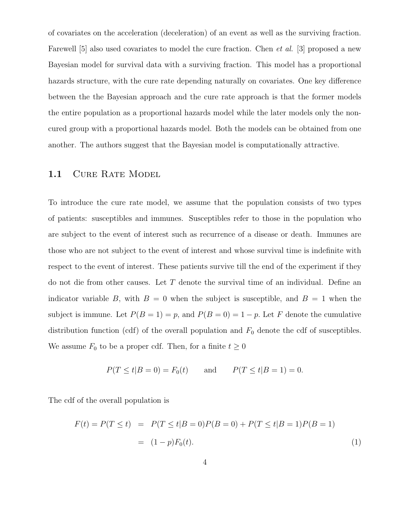of covariates on the acceleration (deceleration) of an event as well as the surviving fraction. Farewell [5] also used covariates to model the cure fraction. Chen *et al.* [3] proposed a new Bayesian model for survival data with a surviving fraction. This model has a proportional hazards structure, with the cure rate depending naturally on covariates. One key difference between the the Bayesian approach and the cure rate approach is that the former models the entire population as a proportional hazards model while the later models only the noncured group with a proportional hazards model. Both the models can be obtained from one another. The authors suggest that the Bayesian model is computationally attractive.

#### 1.1 CURE RATE MODEL

To introduce the cure rate model, we assume that the population consists of two types of patients: susceptibles and immunes. Susceptibles refer to those in the population who are subject to the event of interest such as recurrence of a disease or death. Immunes are those who are not subject to the event of interest and whose survival time is indefinite with respect to the event of interest. These patients survive till the end of the experiment if they do not die from other causes. Let T denote the survival time of an individual. Define an indicator variable B, with  $B = 0$  when the subject is susceptible, and  $B = 1$  when the subject is immune. Let  $P(B = 1) = p$ , and  $P(B = 0) = 1 - p$ . Let F denote the cumulative distribution function (cdf) of the overall population and  $F_0$  denote the cdf of susceptibles. We assume  $F_0$  to be a proper cdf. Then, for a finite  $t \geq 0$ 

$$
P(T \le t | B = 0) = F_0(t)
$$
 and  $P(T \le t | B = 1) = 0.$ 

The cdf of the overall population is

$$
F(t) = P(T \le t) = P(T \le t | B = 0)P(B = 0) + P(T \le t | B = 1)P(B = 1)
$$
  
= (1-p)F<sub>0</sub>(t). (1)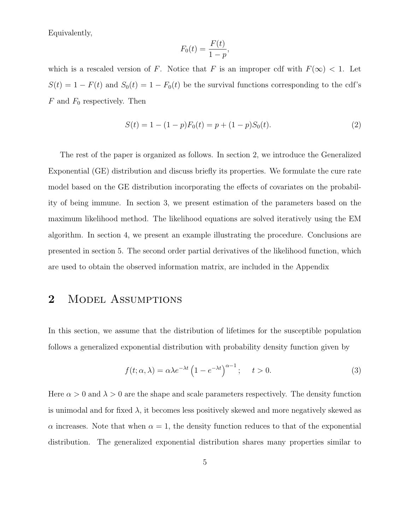Equivalently,

$$
F_0(t) = \frac{F(t)}{1 - p},
$$

which is a rescaled version of F. Notice that F is an improper cdf with  $F(\infty) < 1$ . Let  $S(t) = 1 - F(t)$  and  $S_0(t) = 1 - F_0(t)$  be the survival functions corresponding to the cdf's  $F$  and  $F_0$  respectively. Then

$$
S(t) = 1 - (1 - p)F_0(t) = p + (1 - p)S_0(t).
$$
\n(2)

The rest of the paper is organized as follows. In section 2, we introduce the Generalized Exponential (GE) distribution and discuss briefly its properties. We formulate the cure rate model based on the GE distribution incorporating the effects of covariates on the probability of being immune. In section 3, we present estimation of the parameters based on the maximum likelihood method. The likelihood equations are solved iteratively using the EM algorithm. In section 4, we present an example illustrating the procedure. Conclusions are presented in section 5. The second order partial derivatives of the likelihood function, which are used to obtain the observed information matrix, are included in the Appendix

### 2 MODEL ASSUMPTIONS

In this section, we assume that the distribution of lifetimes for the susceptible population follows a generalized exponential distribution with probability density function given by

$$
f(t; \alpha, \lambda) = \alpha \lambda e^{-\lambda t} \left( 1 - e^{-\lambda t} \right)^{\alpha - 1}; \quad t > 0.
$$
 (3)

Here  $\alpha > 0$  and  $\lambda > 0$  are the shape and scale parameters respectively. The density function is unimodal and for fixed  $\lambda$ , it becomes less positively skewed and more negatively skewed as  $\alpha$  increases. Note that when  $\alpha = 1$ , the density function reduces to that of the exponential distribution. The generalized exponential distribution shares many properties similar to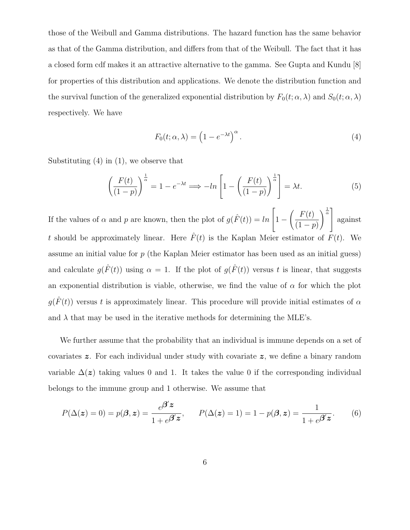those of the Weibull and Gamma distributions. The hazard function has the same behavior as that of the Gamma distribution, and differs from that of the Weibull. The fact that it has a closed form cdf makes it an attractive alternative to the gamma. See Gupta and Kundu [8] for properties of this distribution and applications. We denote the distribution function and the survival function of the generalized exponential distribution by  $F_0(t; \alpha, \lambda)$  and  $S_0(t; \alpha, \lambda)$ respectively. We have

$$
F_0(t; \alpha, \lambda) = \left(1 - e^{-\lambda t}\right)^{\alpha}.
$$
\n(4)

Substituting (4) in (1), we observe that

$$
\left(\frac{F(t)}{(1-p)}\right)^{\frac{1}{\alpha}} = 1 - e^{-\lambda t} \Longrightarrow -\ln\left[1 - \left(\frac{F(t)}{(1-p)}\right)^{\frac{1}{\alpha}}\right] = \lambda t.
$$
\n(5)

If the values of  $\alpha$  and  $p$  are known, then the plot of  $g(\hat{F}(t)) = \ln \alpha$  $\sqrt{ }$  $\vert 1 \int$   $F(t)$  $(1 - p)$  $\left\langle \frac{1}{\alpha} \right\rceil$  against t should be approximately linear. Here  $\hat{F}(t)$  is the Kaplan Meier estimator of  $F(t)$ . We assume an initial value for p (the Kaplan Meier estimator has been used as an initial guess) and calculate  $g(\hat{F}(t))$  using  $\alpha = 1$ . If the plot of  $g(\hat{F}(t))$  versus t is linear, that suggests an exponential distribution is viable, otherwise, we find the value of  $\alpha$  for which the plot  $g(\hat{F}(t))$  versus t is approximately linear. This procedure will provide initial estimates of  $\alpha$ and  $\lambda$  that may be used in the iterative methods for determining the MLE's.

We further assume that the probability that an individual is immune depends on a set of covariates z. For each individual under study with covariate z, we define a binary random variable  $\Delta(z)$  taking values 0 and 1. It takes the value 0 if the corresponding individual belongs to the immune group and 1 otherwise. We assume that

$$
P(\Delta(z) = 0) = p(\boldsymbol{\beta}, z) = \frac{e^{\boldsymbol{\beta}' z}}{1 + e^{\boldsymbol{\beta}' z}}, \qquad P(\Delta(z) = 1) = 1 - p(\boldsymbol{\beta}, z) = \frac{1}{1 + e^{\boldsymbol{\beta}' z}}.
$$
(6)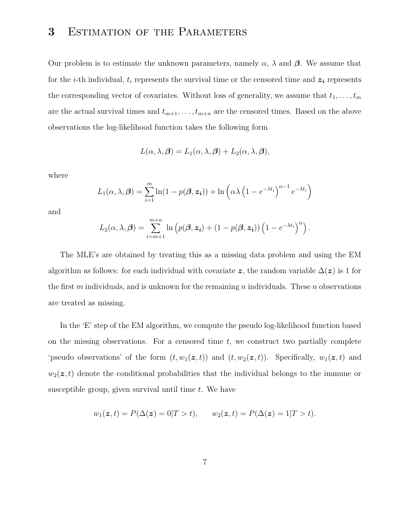# 3 ESTIMATION OF THE PARAMETERS

Our problem is to estimate the unknown parameters, namely  $\alpha$ ,  $\lambda$  and  $\beta$ . We assume that for the *i*-th individual,  $t_i$  represents the survival time or the censored time and  $z_i$  represents the corresponding vector of covariates. Without loss of generality, we assume that  $t_1, \ldots, t_m$ are the actual survival times and  $t_{m+1}, \ldots, t_{m+n}$  are the censored times. Based on the above observations the log-likelihood function takes the following form

$$
L(\alpha, \lambda, \beta) = L_1(\alpha, \lambda, \beta) + L_2(\alpha, \lambda, \beta),
$$

where

$$
L_1(\alpha, \lambda, \beta) = \sum_{i=1}^m \ln(1 - p(\beta, \mathbf{z}_i)) + \ln\left(\alpha \lambda \left(1 - e^{-\lambda t_i}\right)^{\alpha - 1} e^{-\lambda t_i}\right)
$$

and

$$
L_2(\alpha, \lambda, \beta) = \sum_{i=m+1}^{m+n} \ln \left( p(\beta, \mathbf{z_i}) + (1 - p(\beta, \mathbf{z_i})) \left( 1 - e^{-\lambda t_i} \right)^{\alpha} \right).
$$

The MLE's are obtained by treating this as a missing data problem and using the EM algorithm as follows: for each individual with covariate z, the random variable  $\Delta(z)$  is 1 for the first m individuals, and is unknown for the remaining n individuals. These n observations are treated as missing.

In the 'E' step of the EM algorithm, we compute the pseudo log-likelihood function based on the missing observations. For a censored time  $t$ , we construct two partially complete 'pseudo observations' of the form  $(t, w_1(z, t))$  and  $(t, w_2(z, t))$ . Specifically,  $w_1(z, t)$  and  $w_2(z,t)$  denote the conditional probabilities that the individual belongs to the immune or susceptible group, given survival until time  $t$ . We have

$$
w_1(z,t) = P(\Delta(z) = 0|T > t),
$$
  $w_2(z,t) = P(\Delta(z) = 1|T > t).$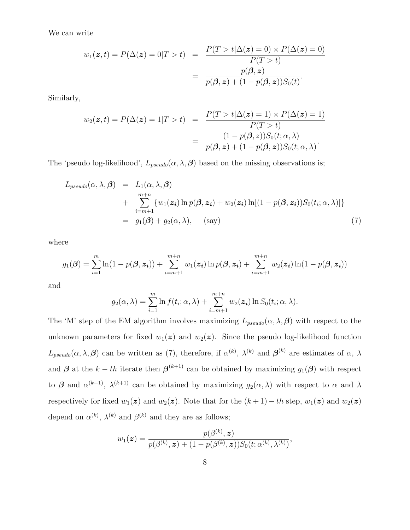We can write

$$
w_1(z,t) = P(\Delta(z) = 0|T > t) = \frac{P(T > t|\Delta(z) = 0) \times P(\Delta(z) = 0)}{P(T > t)}
$$

$$
= \frac{p(\beta, z)}{p(\beta, z) + (1 - p(\beta, z))S_0(t)}.
$$

Similarly,

$$
w_2(\mathbf{z},t) = P(\Delta(\mathbf{z}) = 1|T > t) = \frac{P(T > t | \Delta(\mathbf{z}) = 1) \times P(\Delta(\mathbf{z}) = 1)}{P(T > t)}
$$

$$
= \frac{(1 - p(\boldsymbol{\beta}, z))S_0(t; \alpha, \lambda)}{p(\boldsymbol{\beta}, z) + (1 - p(\boldsymbol{\beta}, z))S_0(t; \alpha, \lambda)}.
$$

The 'pseudo log-likelihood',  $L_{pseudo}(\alpha, \lambda, \beta)$  based on the missing observations is;

$$
L_{pseudo}(\alpha, \lambda, \beta) = L_1(\alpha, \lambda, \beta)
$$
  
+ 
$$
\sum_{i=m+1}^{m+n} \{w_1(\mathbf{z_i}) \ln p(\beta, \mathbf{z_i}) + w_2(\mathbf{z_i}) \ln[(1 - p(\beta, \mathbf{z_i}))S_0(t_i; \alpha, \lambda)]\}
$$
  
= 
$$
g_1(\beta) + g_2(\alpha, \lambda), \quad \text{(say)}
$$
 (7)

where

$$
g_1(\boldsymbol{\beta}) = \sum_{i=1}^m \ln(1 - p(\boldsymbol{\beta}, \boldsymbol{z_i})) + \sum_{i=m+1}^{m+n} w_1(\boldsymbol{z_i}) \ln p(\boldsymbol{\beta}, \boldsymbol{z_i}) + \sum_{i=m+1}^{m+n} w_2(\boldsymbol{z_i}) \ln(1 - p(\boldsymbol{\beta}, \boldsymbol{z_i}))
$$

and

$$
g_2(\alpha, \lambda) = \sum_{i=1}^m \ln f(t_i; \alpha, \lambda) + \sum_{i=m+1}^{m+n} w_2(\boldsymbol{z_i}) \ln S_0(t_i; \alpha, \lambda).
$$

The 'M' step of the EM algorithm involves maximizing  $L_{pseudo}(\alpha, \lambda, \beta)$  with respect to the unknown parameters for fixed  $w_1(z)$  and  $w_2(z)$ . Since the pseudo log-likelihood function  $L_{pseudo}(\alpha,\lambda,\beta)$  can be written as (7), therefore, if  $\alpha^{(k)}$ ,  $\lambda^{(k)}$  and  $\beta^{(k)}$  are estimates of  $\alpha, \lambda$ and  $\beta$  at the  $k-th$  iterate then  $\beta^{(k+1)}$  can be obtained by maximizing  $g_1(\beta)$  with respect to  $\beta$  and  $\alpha^{(k+1)}$ ,  $\lambda^{(k+1)}$  can be obtained by maximizing  $g_2(\alpha, \lambda)$  with respect to  $\alpha$  and  $\lambda$ respectively for fixed  $w_1(z)$  and  $w_2(z)$ . Note that for the  $(k+1) - th$  step,  $w_1(z)$  and  $w_2(z)$ depend on  $\alpha^{(k)}$ ,  $\lambda^{(k)}$  and  $\beta^{(k)}$  and they are as follows;

$$
w_1(\boldsymbol{z}) = \frac{p(\beta^{(k)}, \boldsymbol{z})}{p(\beta^{(k)}, \boldsymbol{z}) + (1 - p(\beta^{(k)}, \boldsymbol{z}))S_0(t; \alpha^{(k)}, \lambda^{(k)})},
$$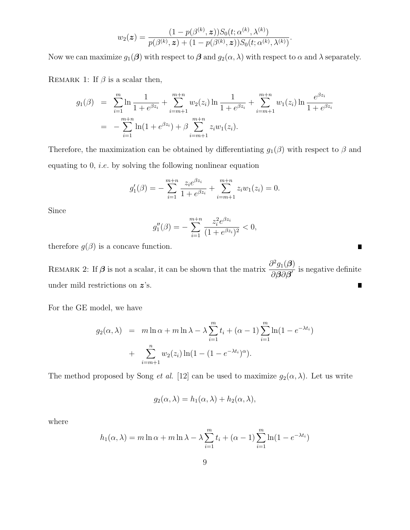$$
w_2(\boldsymbol{z}) = \frac{(1 - p(\beta^{(k)}, \boldsymbol{z}))S_0(t; \alpha^{(k)}, \lambda^{(k)})}{p(\beta^{(k)}, \boldsymbol{z}) + (1 - p(\beta^{(k)}, \boldsymbol{z}))S_0(t; \alpha^{(k)}, \lambda^{(k)})}.
$$

Now we can maximize  $g_1(\boldsymbol{\beta})$  with respect to  $\boldsymbol{\beta}$  and  $g_2(\alpha, \lambda)$  with respect to  $\alpha$  and  $\lambda$  separately.

REMARK 1: If  $\beta$  is a scalar then,

$$
g_1(\beta) = \sum_{i=1}^m \ln \frac{1}{1 + e^{\beta z_i}} + \sum_{i=m+1}^{m+n} w_2(z_i) \ln \frac{1}{1 + e^{\beta z_i}} + \sum_{i=m+1}^{m+n} w_1(z_i) \ln \frac{e^{\beta z_i}}{1 + e^{\beta z_i}}
$$
  
= 
$$
-\sum_{i=1}^{m+n} \ln(1 + e^{\beta z_i}) + \beta \sum_{i=m+1}^{m+n} z_i w_1(z_i).
$$

Therefore, the maximization can be obtained by differentiating  $g_1(\beta)$  with respect to  $\beta$  and equating to 0, i.e. by solving the following nonlinear equation

$$
g_1'(\beta) = -\sum_{i=1}^{m+n} \frac{z_i e^{\beta z_i}}{1 + e^{\beta z_i}} + \sum_{i=m+1}^{m+n} z_i w_1(z_i) = 0.
$$

Since

$$
g_1''(\beta) = -\sum_{i=1}^{m+n} \frac{z_i^2 e^{\beta z_i}}{(1 + e^{\beta z_i})^2} < 0,
$$

 $\blacksquare$ 

therefore  $g(\beta)$  is a concave function.

REMARK 2: If  $\beta$  is not a scalar, it can be shown that the matrix  $\frac{\partial^2 g_1(\beta)}{\partial \beta \partial \beta}$  $\frac{\partial^2 \mathcal{G}(\mathcal{S})}{\partial \mathcal{G}(\mathcal{S})}$  is negative definite under mild restrictions on  $z$ 's. П

For the GE model, we have

$$
g_2(\alpha, \lambda) = m \ln \alpha + m \ln \lambda - \lambda \sum_{i=1}^m t_i + (\alpha - 1) \sum_{i=1}^m \ln(1 - e^{-\lambda t_i}) + \sum_{i=m+1}^n w_2(z_i) \ln(1 - (1 - e^{-\lambda t_i})^{\alpha}).
$$

The method proposed by Song *et al.* [12] can be used to maximize  $g_2(\alpha, \lambda)$ . Let us write

$$
g_2(\alpha, \lambda) = h_1(\alpha, \lambda) + h_2(\alpha, \lambda),
$$

where

$$
h_1(\alpha, \lambda) = m \ln \alpha + m \ln \lambda - \lambda \sum_{i=1}^m t_i + (\alpha - 1) \sum_{i=1}^m \ln(1 - e^{-\lambda t_i})
$$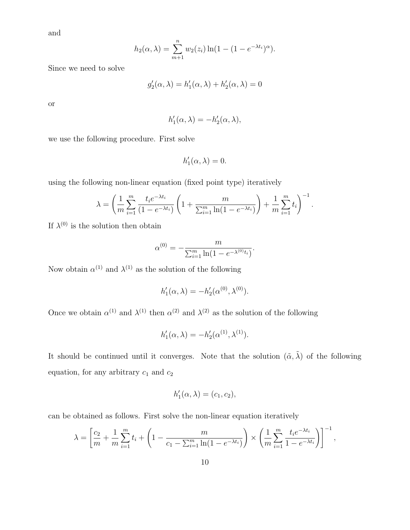and

$$
h_2(\alpha, \lambda) = \sum_{m+1}^n w_2(z_i) \ln(1 - (1 - e^{-\lambda t_i})^{\alpha}).
$$

Since we need to solve

$$
g_2'(\alpha, \lambda) = h_1'(\alpha, \lambda) + h_2'(\alpha, \lambda) = 0
$$

or

$$
h'_1(\alpha,\lambda)=-h'_2(\alpha,\lambda),
$$

we use the following procedure. First solve

$$
h_1'(\alpha,\lambda)=0.
$$

using the following non-linear equation (fixed point type) iteratively

$$
\lambda = \left(\frac{1}{m} \sum_{i=1}^{m} \frac{t_i e^{-\lambda t_i}}{(1 - e^{-\lambda t_i})} \left(1 + \frac{m}{\sum_{i=1}^{m} \ln(1 - e^{-\lambda t_i})}\right) + \frac{1}{m} \sum_{i=1}^{m} t_i\right)^{-1}.
$$

If  $\lambda^{(0)}$  is the solution then obtain

$$
\alpha^{(0)} = -\frac{m}{\sum_{i=1}^{m} \ln(1 - e^{-\lambda^{(0)}t_i})}.
$$

Now obtain  $\alpha^{(1)}$  and  $\lambda^{(1)}$  as the solution of the following

$$
h'_1(\alpha, \lambda) = -h'_2(\alpha^{(0)}, \lambda^{(0)}).
$$

Once we obtain  $\alpha^{(1)}$  and  $\lambda^{(1)}$  then  $\alpha^{(2)}$  and  $\lambda^{(2)}$  as the solution of the following

$$
h'_1(\alpha, \lambda) = -h'_2(\alpha^{(1)}, \lambda^{(1)}).
$$

It should be continued until it converges. Note that the solution  $(\tilde{\alpha}, \tilde{\lambda})$  of the following equation, for any arbitrary  $c_1$  and  $c_2$ 

$$
h'_1(\alpha,\lambda)=(c_1,c_2),
$$

can be obtained as follows. First solve the non-linear equation iteratively

$$
\lambda = \left[\frac{c_2}{m} + \frac{1}{m} \sum_{i=1}^{m} t_i + \left(1 - \frac{m}{c_1 - \sum_{i=1}^{m} \ln(1 - e^{-\lambda t_i})}\right) \times \left(\frac{1}{m} \sum_{i=1}^{m} \frac{t_i e^{-\lambda t_i}}{1 - e^{-\lambda t_i}}\right)\right]^{-1},
$$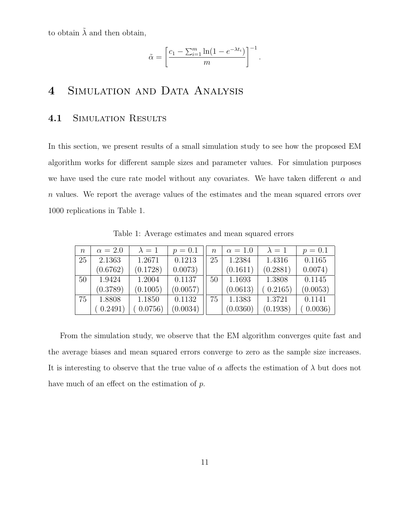to obtain  $\lambda$  and then obtain,

$$
\tilde{\alpha} = \left[ \frac{c_1 - \sum_{i=1}^m \ln(1 - e^{-\lambda t_i})}{m} \right]^{-1}.
$$

## 4 SIMULATION AND DATA ANALYSIS

### 4.1 SIMULATION RESULTS

In this section, we present results of a small simulation study to see how the proposed EM algorithm works for different sample sizes and parameter values. For simulation purposes we have used the cure rate model without any covariates. We have taken different  $\alpha$  and n values. We report the average values of the estimates and the mean squared errors over 1000 replications in Table 1.

| $\eta$ | $\alpha = 2.0$ | $\lambda=1$ | $p = 0.1$ | $\, n$ | $\alpha = 1.0$ | $\lambda=1$ | $p = 0.1$ |
|--------|----------------|-------------|-----------|--------|----------------|-------------|-----------|
| 25     | 2.1363         | 1.2671      | 0.1213    | 25     | 1.2384         | 1.4316      | 0.1165    |
|        | (0.6762)       | (0.1728)    | 0.0073)   |        | (0.1611)       | (0.2881)    | 0.0074)   |
| 50     | 1.9424         | 1.2004      | 0.1137    | 50     | 1.1693         | 1.3808      | 0.1145    |
|        | (0.3789)       | (0.1005)    | (0.0057)  |        | (0.0613)       | (0.2165)    | (0.0053)  |
| 75     | 1.8808         | 1.1850      | 0.1132    | 75     | 1.1383         | 1.3721      | 0.1141    |
|        | 0.2491         | 0.0756)     | (0.0034)  |        | (0.0360)       | (0.1938)    | 0.0036)   |

Table 1: Average estimates and mean squared errors

From the simulation study, we observe that the EM algorithm converges quite fast and the average biases and mean squared errors converge to zero as the sample size increases. It is interesting to observe that the true value of  $\alpha$  affects the estimation of  $\lambda$  but does not have much of an effect on the estimation of p.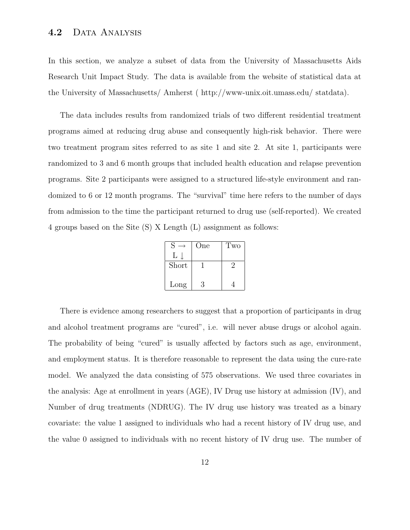### 4.2 DATA ANALYSIS

In this section, we analyze a subset of data from the University of Massachusetts Aids Research Unit Impact Study. The data is available from the website of statistical data at the University of Massachusetts/ Amherst ( http://www-unix.oit.umass.edu/ statdata).

The data includes results from randomized trials of two different residential treatment programs aimed at reducing drug abuse and consequently high-risk behavior. There were two treatment program sites referred to as site 1 and site 2. At site 1, participants were randomized to 3 and 6 month groups that included health education and relapse prevention programs. Site 2 participants were assigned to a structured life-style environment and randomized to 6 or 12 month programs. The "survival" time here refers to the number of days from admission to the time the participant returned to drug use (self-reported). We created 4 groups based on the Site (S) X Length (L) assignment as follows:

| S     | One | Two |
|-------|-----|-----|
| L     |     |     |
| Short |     | ')  |
|       |     |     |
| Long  | 3   |     |

There is evidence among researchers to suggest that a proportion of participants in drug and alcohol treatment programs are "cured", i.e. will never abuse drugs or alcohol again. The probability of being "cured" is usually affected by factors such as age, environment, and employment status. It is therefore reasonable to represent the data using the cure-rate model. We analyzed the data consisting of 575 observations. We used three covariates in the analysis: Age at enrollment in years (AGE), IV Drug use history at admission (IV), and Number of drug treatments (NDRUG). The IV drug use history was treated as a binary covariate: the value 1 assigned to individuals who had a recent history of IV drug use, and the value 0 assigned to individuals with no recent history of IV drug use. The number of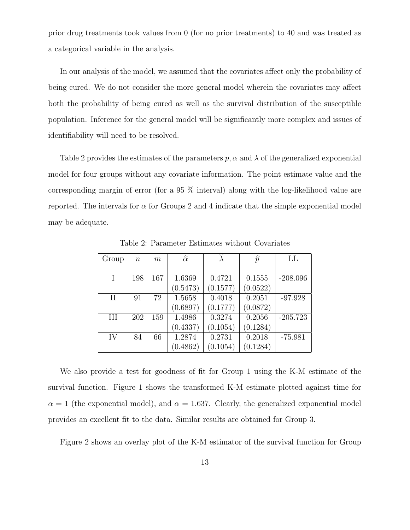prior drug treatments took values from 0 (for no prior treatments) to 40 and was treated as a categorical variable in the analysis.

In our analysis of the model, we assumed that the covariates affect only the probability of being cured. We do not consider the more general model wherein the covariates may affect both the probability of being cured as well as the survival distribution of the susceptible population. Inference for the general model will be significantly more complex and issues of identifiability will need to be resolved.

Table 2 provides the estimates of the parameters  $p, \alpha$  and  $\lambda$  of the generalized exponential model for four groups without any covariate information. The point estimate value and the corresponding margin of error (for a 95 % interval) along with the log-likelihood value are reported. The intervals for  $\alpha$  for Groups 2 and 4 indicate that the simple exponential model may be adequate.

| Group<br>$\, n$ |     | m   | $\widehat{\alpha}$ |          | $\widehat{p}$ | LL         |
|-----------------|-----|-----|--------------------|----------|---------------|------------|
|                 |     |     |                    |          |               |            |
|                 | 198 | 167 | 1.6369             | 0.4721   | 0.1555        | $-208.096$ |
|                 |     |     | (0.5473)           | (0.1577) | (0.0522)      |            |
| $\rm II$        | 91  | 72  | 1.5658             | 0.4018   | 0.2051        | $-97.928$  |
|                 |     |     | (0.6897)           | (0.1777) | (0.0872)      |            |
| III             | 202 | 159 | 1.4986             | 0.3274   | 0.2056        | $-205.723$ |
|                 |     |     | (0.4337)           | (0.1054) | (0.1284)      |            |
| IV              | 84  | 66  | 1.2874             | 0.2731   | 0.2018        | $-75.981$  |
|                 |     |     | (0.4862)           | (0.1054) | (0.1284)      |            |

Table 2: Parameter Estimates without Covariates

We also provide a test for goodness of fit for Group 1 using the K-M estimate of the survival function. Figure 1 shows the transformed K-M estimate plotted against time for  $\alpha = 1$  (the exponential model), and  $\alpha = 1.637$ . Clearly, the generalized exponential model provides an excellent fit to the data. Similar results are obtained for Group 3.

Figure 2 shows an overlay plot of the K-M estimator of the survival function for Group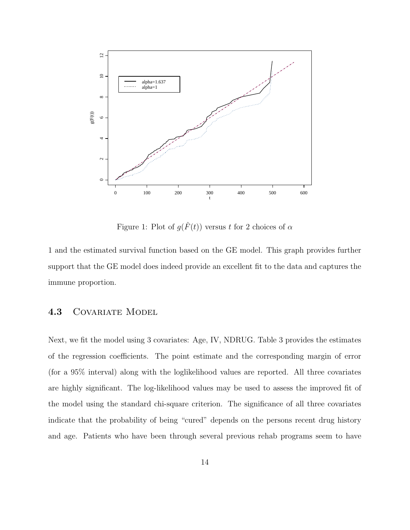

Figure 1: Plot of  $g(\hat{F}(t))$  versus t for 2 choices of  $\alpha$ 

1 and the estimated survival function based on the GE model. This graph provides further support that the GE model does indeed provide an excellent fit to the data and captures the immune proportion.

### 4.3 COVARIATE MODEL

Next, we fit the model using 3 covariates: Age, IV, NDRUG. Table 3 provides the estimates of the regression coefficients. The point estimate and the corresponding margin of error (for a 95% interval) along with the loglikelihood values are reported. All three covariates are highly significant. The log-likelihood values may be used to assess the improved fit of the model using the standard chi-square criterion. The significance of all three covariates indicate that the probability of being "cured" depends on the persons recent drug history and age. Patients who have been through several previous rehab programs seem to have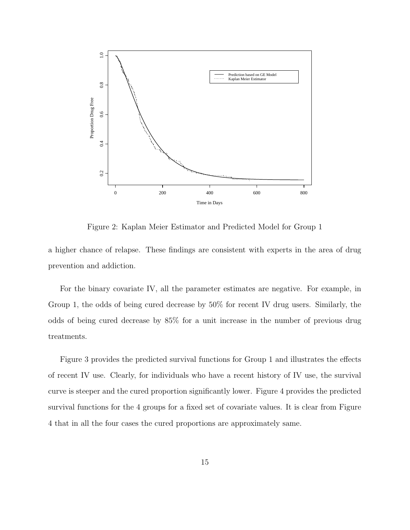

Figure 2: Kaplan Meier Estimator and Predicted Model for Group 1

a higher chance of relapse. These findings are consistent with experts in the area of drug prevention and addiction.

For the binary covariate IV, all the parameter estimates are negative. For example, in Group 1, the odds of being cured decrease by 50% for recent IV drug users. Similarly, the odds of being cured decrease by 85% for a unit increase in the number of previous drug treatments.

Figure 3 provides the predicted survival functions for Group 1 and illustrates the effects of recent IV use. Clearly, for individuals who have a recent history of IV use, the survival curve is steeper and the cured proportion significantly lower. Figure 4 provides the predicted survival functions for the 4 groups for a fixed set of covariate values. It is clear from Figure 4 that in all the four cases the cured proportions are approximately same.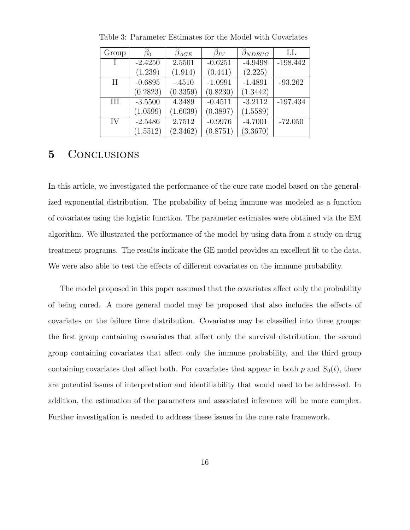| Group |           | $\beta_{AGE}$ | $\widehat{\beta}_{IV}$ | $\widehat{\beta}_{NDRUG}$ | LL         |
|-------|-----------|---------------|------------------------|---------------------------|------------|
|       | $-2.4250$ | 2.5501        | $-0.6251$              | $-4.9498$                 | $-198.442$ |
|       | (1.239)   | (1.914)       | (0.441)                | (2.225)                   |            |
| H     | $-0.6895$ | $-.4510$      | $-1.0991$              | $-1.4891$                 | $-93.262$  |
|       | (0.2823)  | (0.3359)      | (0.8230)               | (1.3442)                  |            |
| Ш     | $-3.5500$ | 4.3489        | $-0.4511$              | $-3.2112$                 | $-197.434$ |
|       | (1.0599)  | (1.6039)      | (0.3897)               | (1.5589)                  |            |
| IV    | $-2.5486$ | 2.7512        | $-0.9976$              | $-4.7001$                 | $-72.050$  |
|       | (1.5512)  | (2.3462)      | (0.8751)               | (3.3670)                  |            |

Table 3: Parameter Estimates for the Model with Covariates

### 5 CONCLUSIONS

In this article, we investigated the performance of the cure rate model based on the generalized exponential distribution. The probability of being immune was modeled as a function of covariates using the logistic function. The parameter estimates were obtained via the EM algorithm. We illustrated the performance of the model by using data from a study on drug treatment programs. The results indicate the GE model provides an excellent fit to the data. We were also able to test the effects of different covariates on the immune probability.

The model proposed in this paper assumed that the covariates affect only the probability of being cured. A more general model may be proposed that also includes the effects of covariates on the failure time distribution. Covariates may be classified into three groups: the first group containing covariates that affect only the survival distribution, the second group containing covariates that affect only the immune probability, and the third group containing covariates that affect both. For covariates that appear in both p and  $S_0(t)$ , there are potential issues of interpretation and identifiability that would need to be addressed. In addition, the estimation of the parameters and associated inference will be more complex. Further investigation is needed to address these issues in the cure rate framework.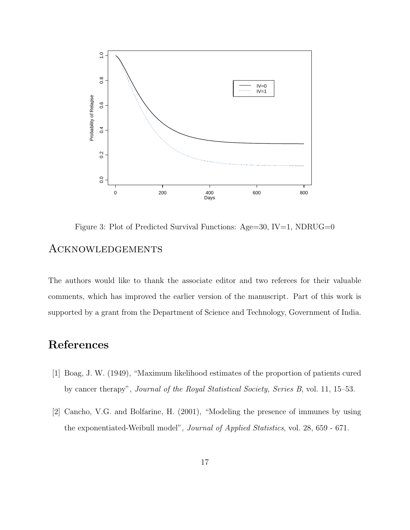

Figure 3: Plot of Predicted Survival Functions:  $Age=30$ ,  $IV=1$ , NDRUG=0

## **ACKNOWLEDGEMENTS**

The authors would like to thank the associate editor and two referees for their valuable comments, which has improved the earlier version of the manuscript. Part of this work is supported by a grant from the Department of Science and Technology, Government of India.

# References

- [1] Boag, J. W. (1949), "Maximum likelihood estimates of the proportion of patients cured by cancer therapy", Journal of the Royal Statistical Society, Series B, vol. 11, 15–53.
- [2] Cancho, V.G. and Bolfarine, H. (2001), "Modeling the presence of immunes by using the exponentiated-Weibull model", Journal of Applied Statistics, vol. 28, 659 - 671.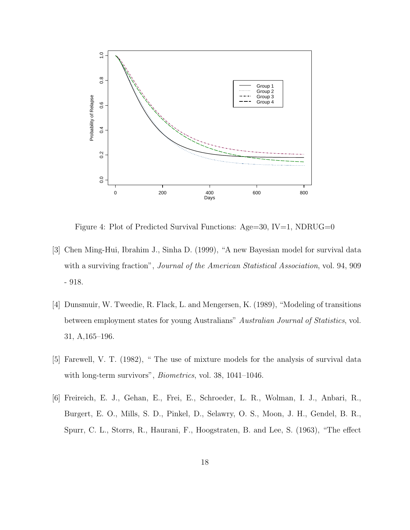

Figure 4: Plot of Predicted Survival Functions:  $Age=30$ ,  $IV=1$ , NDRUG=0

- [3] Chen Ming-Hui, Ibrahim J., Sinha D. (1999), "A new Bayesian model for survival data with a surviving fraction", *Journal of the American Statistical Association*, vol. 94, 909 - 918.
- [4] Dunsmuir, W. Tweedie, R. Flack, L. and Mengersen, K. (1989), "Modeling of transitions between employment states for young Australians" Australian Journal of Statistics, vol. 31, A,165–196.
- [5] Farewell, V. T. (1982), " The use of mixture models for the analysis of survival data with long-term survivors", Biometrics, vol. 38, 1041–1046.
- [6] Freireich, E. J., Gehan, E., Frei, E., Schroeder, L. R., Wolman, I. J., Anbari, R., Burgert, E. O., Mills, S. D., Pinkel, D., Selawry, O. S., Moon, J. H., Gendel, B. R., Spurr, C. L., Storrs, R., Haurani, F., Hoogstraten, B. and Lee, S. (1963), "The effect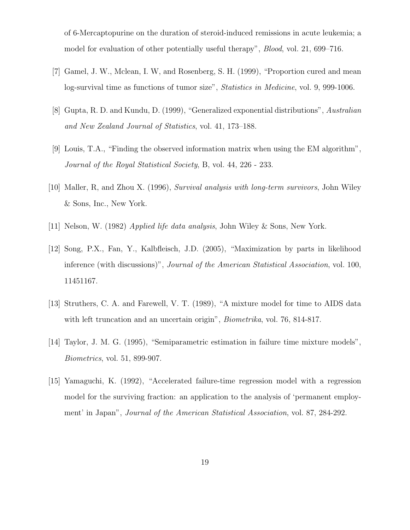of 6-Mercaptopurine on the duration of steroid-induced remissions in acute leukemia; a model for evaluation of other potentially useful therapy", Blood, vol. 21, 699–716.

- [7] Gamel, J. W., Mclean, I. W, and Rosenberg, S. H. (1999), "Proportion cured and mean log-survival time as functions of tumor size", *Statistics in Medicine*, vol. 9, 999-1006.
- [8] Gupta, R. D. and Kundu, D. (1999), "Generalized exponential distributions", Australian and New Zealand Journal of Statistics, vol. 41, 173–188.
- [9] Louis, T.A., "Finding the observed information matrix when using the EM algorithm", Journal of the Royal Statistical Society, B, vol. 44, 226 - 233.
- [10] Maller, R, and Zhou X. (1996), Survival analysis with long-term survivors, John Wiley & Sons, Inc., New York.
- [11] Nelson, W. (1982) Applied life data analysis, John Wiley & Sons, New York.
- [12] Song, P.X., Fan, Y., Kalbfleisch, J.D. (2005), "Maximization by parts in likelihood inference (with discussions)", Journal of the American Statistical Association, vol. 100, 11451167.
- [13] Struthers, C. A. and Farewell, V. T. (1989), "A mixture model for time to AIDS data with left truncation and an uncertain origin", *Biometrika*, vol. 76, 814-817.
- [14] Taylor, J. M. G. (1995), "Semiparametric estimation in failure time mixture models", Biometrics, vol. 51, 899-907.
- [15] Yamaguchi, K. (1992), "Accelerated failure-time regression model with a regression model for the surviving fraction: an application to the analysis of 'permanent employment' in Japan", Journal of the American Statistical Association, vol. 87, 284-292.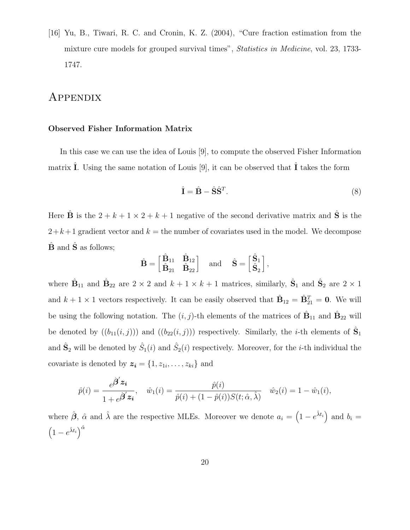[16] Yu, B., Tiwari, R. C. and Cronin, K. Z. (2004), "Cure fraction estimation from the mixture cure models for grouped survival times", Statistics in Medicine, vol. 23, 1733- 1747.

### Appendix

#### Observed Fisher Information Matrix

In this case we can use the idea of Louis [9], to compute the observed Fisher Information matrix  $\hat{I}$ . Using the same notation of Louis [9], it can be observed that  $\hat{I}$  takes the form

$$
\hat{\mathbf{I}} = \hat{\mathbf{B}} - \hat{\mathbf{S}} \hat{\mathbf{S}}^T. \tag{8}
$$

Here  $\hat{\mathbf{B}}$  is the  $2 + k + 1 \times 2 + k + 1$  negative of the second derivative matrix and  $\hat{\mathbf{S}}$  is the  $2+k+1$  gradient vector and  $k =$  the number of covariates used in the model. We decompose  $\hat{\mathbf{B}}$  and  $\hat{\mathbf{S}}$  as follows;

$$
\hat{\mathbf{B}} = \begin{bmatrix} \hat{\mathbf{B}}_{11} & \hat{\mathbf{B}}_{12} \\ \hat{\mathbf{B}}_{21} & \hat{\mathbf{B}}_{22} \end{bmatrix} \quad \text{and} \quad \hat{\mathbf{S}} = \begin{bmatrix} \hat{\mathbf{S}}_1 \\ \hat{\mathbf{S}}_2 \end{bmatrix},
$$

where  $\hat{\mathbf{B}}_{11}$  and  $\hat{\mathbf{B}}_{22}$  are  $2 \times 2$  and  $k+1 \times k+1$  matrices, similarly,  $\hat{\mathbf{S}}_1$  and  $\hat{\mathbf{S}}_2$  are  $2 \times 1$ and  $k + 1 \times 1$  vectors respectively. It can be easily observed that  $\hat{\mathbf{B}}_{12} = \hat{\mathbf{B}}_{21}^T = \mathbf{0}$ . We will be using the following notation. The  $(i, j)$ -th elements of the matrices of  $\hat{B}_{11}$  and  $\hat{B}_{22}$  will be denoted by  $((b_{11}(i,j)))$  and  $((b_{22}(i,j)))$  respectively. Similarly, the *i*-th elements of  $\hat{S}_1$ and  $\hat{\mathbf{S}}_2$  will be denoted by  $\hat{S}_1(i)$  and  $\hat{S}_2(i)$  respectively. Moreover, for the *i*-th individual the covariate is denoted by  $z_i = \{1, z_{1i}, \ldots, z_{ki}\}\$ and

$$
\hat{p}(i) = \frac{e^{\hat{\boldsymbol{\beta}}' \boldsymbol{z_i}}}{1 + e^{\hat{\boldsymbol{\beta}}' \boldsymbol{z_i}}}, \quad \hat{w}_1(i) = \frac{\hat{p}(i)}{\hat{p}(i) + (1 - \hat{p}(i))S(t; \hat{\alpha}, \hat{\lambda})} \quad \hat{w}_2(i) = 1 - \hat{w}_1(i),
$$

where  $\hat{\boldsymbol{\beta}}$ ,  $\hat{\alpha}$  and  $\hat{\lambda}$  are the respective MLEs. Moreover we denote  $a_i = (1 - e^{\hat{\lambda} t_i})$  and  $b_i =$  $\left(1-e^{\hat{\lambda}t_i}\right)^{\hat{\alpha}}$